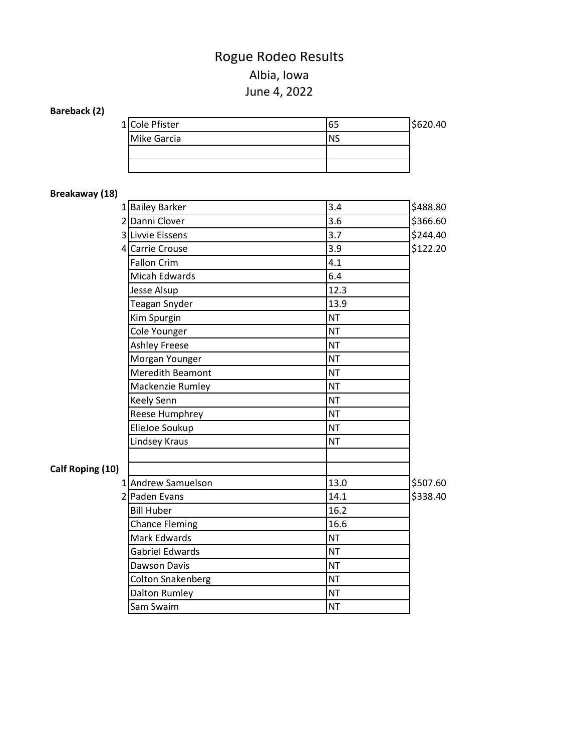# Rogue Rodeo Results

## June 4, 2022 Albia, Iowa

## **Bareback (2)**

| 1 Cole Pfister | 65        | \$620.40 |
|----------------|-----------|----------|
| Mike Garcia    | <b>NS</b> |          |
|                |           |          |
|                |           |          |

## **Breakaway (18)**

| <b>DICANAWAY (10)</b> |                          |           |          |
|-----------------------|--------------------------|-----------|----------|
|                       | 1 Bailey Barker          | 3.4       | \$488.80 |
|                       | 2 Danni Clover           | 3.6       | \$366.60 |
|                       | 3 Livvie Eissens         | 3.7       | \$244.40 |
|                       | 4 Carrie Crouse          | 3.9       | \$122.20 |
|                       | <b>Fallon Crim</b>       | 4.1       |          |
|                       | Micah Edwards            | 6.4       |          |
|                       | Jesse Alsup              | 12.3      |          |
|                       | Teagan Snyder            | 13.9      |          |
|                       | Kim Spurgin              | <b>NT</b> |          |
|                       | Cole Younger             | <b>NT</b> |          |
|                       | <b>Ashley Freese</b>     | <b>NT</b> |          |
|                       | Morgan Younger           | <b>NT</b> |          |
|                       | <b>Meredith Beamont</b>  | <b>NT</b> |          |
|                       | Mackenzie Rumley         | <b>NT</b> |          |
|                       | <b>Keely Senn</b>        | <b>NT</b> |          |
|                       | Reese Humphrey           | <b>NT</b> |          |
|                       | ElieJoe Soukup           | <b>NT</b> |          |
|                       | Lindsey Kraus            | <b>NT</b> |          |
|                       |                          |           |          |
| Calf Roping (10)      |                          |           |          |
|                       | 1 Andrew Samuelson       | 13.0      | \$507.60 |
|                       | 2 Paden Evans            | 14.1      | \$338.40 |
|                       | <b>Bill Huber</b>        | 16.2      |          |
|                       | <b>Chance Fleming</b>    | 16.6      |          |
|                       | Mark Edwards             | <b>NT</b> |          |
|                       | <b>Gabriel Edwards</b>   | <b>NT</b> |          |
|                       | Dawson Davis             | <b>NT</b> |          |
|                       | <b>Colton Snakenberg</b> | <b>NT</b> |          |
|                       | Dalton Rumley            | <b>NT</b> |          |
|                       | Sam Swaim                | <b>NT</b> |          |
|                       |                          |           |          |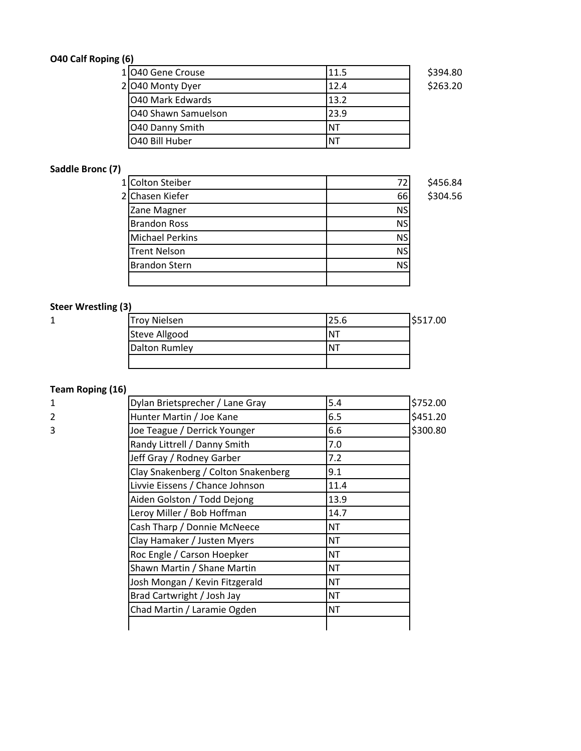## **O40 Calf Roping (6)**

| 1040 Gene Crouse    | 11.5      | \$394.80 |
|---------------------|-----------|----------|
| 2 040 Monty Dyer    | 12.4      | \$263.20 |
| 040 Mark Edwards    | 13.2      |          |
| O40 Shawn Samuelson | 23.9      |          |
| O40 Danny Smith     | <b>NT</b> |          |
| O40 Bill Huber      | ΝT        |          |

#### **Saddle Bronc (7)**

| 1 Colton Steiber       | 72        | \$456.84 |
|------------------------|-----------|----------|
| 2 Chasen Kiefer        | 66        | \$304.56 |
| Zane Magner            | <b>NS</b> |          |
| <b>Brandon Ross</b>    | <b>NS</b> |          |
| <b>Michael Perkins</b> | <b>NS</b> |          |
| <b>Trent Nelson</b>    | <b>NS</b> |          |
| <b>Brandon Stern</b>   | <b>NS</b> |          |
|                        |           |          |

#### **Steer Wrestling (3)**

| ۰.  |  |
|-----|--|
| . . |  |

| ັ້     |                     |             |          |
|--------|---------------------|-------------|----------|
| 4<br>ᅩ | <b>Troy Nielsen</b> | 25.6        | \$517.00 |
|        | Steve Allgood       | Ν١          |          |
|        | Dalton Rumley       | $N_{\rm A}$ |          |
|        |                     |             |          |

## **Team Roping (16)**

| 1              | Dylan Brietsprecher / Lane Gray     | 5.4       | \$752.00 |
|----------------|-------------------------------------|-----------|----------|
| $\overline{2}$ | Hunter Martin / Joe Kane            | 6.5       | \$451.20 |
| 3              | Joe Teague / Derrick Younger        | 6.6       | \$300.80 |
|                | Randy Littrell / Danny Smith        | 7.0       |          |
|                | Jeff Gray / Rodney Garber           | 7.2       |          |
|                | Clay Snakenberg / Colton Snakenberg | 9.1       |          |
|                | Livvie Eissens / Chance Johnson     | 11.4      |          |
|                | Aiden Golston / Todd Dejong         | 13.9      |          |
|                | Leroy Miller / Bob Hoffman          | 14.7      |          |
|                | Cash Tharp / Donnie McNeece         | <b>NT</b> |          |
|                | Clay Hamaker / Justen Myers         | <b>NT</b> |          |
|                | Roc Engle / Carson Hoepker          | <b>NT</b> |          |
|                | Shawn Martin / Shane Martin         | <b>NT</b> |          |
|                | Josh Mongan / Kevin Fitzgerald      | <b>NT</b> |          |
|                | Brad Cartwright / Josh Jay          | <b>NT</b> |          |
|                | Chad Martin / Laramie Ogden         | <b>NT</b> |          |
|                |                                     |           |          |
|                |                                     |           |          |